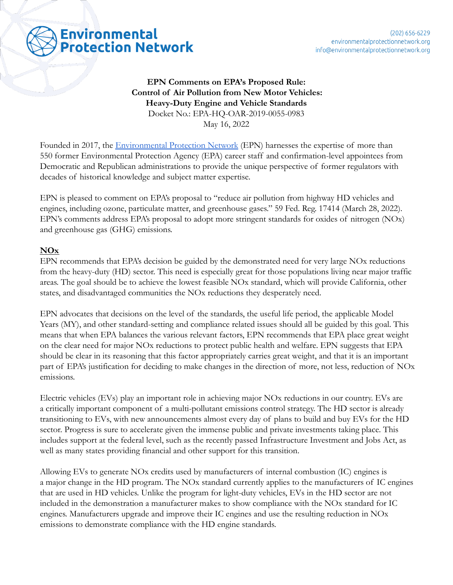

**EPN Comments on EPA's Proposed Rule: Control of Air Pollution from New Motor Vehicles: Heavy-Duty Engine and Vehicle Standards** Docket No.: EPA-HQ-OAR-2019-0055-0983 May 16, 2022

Founded in 2017, the [Environmental Protection Network](https://www.environmentalprotectionnetwork.org/) (EPN) harnesses the expertise of more than 550 former Environmental Protection Agency (EPA) career staff and confirmation-level appointees from Democratic and Republican administrations to provide the unique perspective of former regulators with decades of historical knowledge and subject matter expertise.

EPN is pleased to comment on EPA's proposal to "reduce air pollution from highway HD vehicles and engines, including ozone, particulate matter, and greenhouse gases." 59 Fed. Reg. 17414 (March 28, 2022). EPN's comments address EPA's proposal to adopt more stringent standards for oxides of nitrogen (NOx) and greenhouse gas (GHG) emissions.

## **NOx**

EPN recommends that EPA's decision be guided by the demonstrated need for very large NOx reductions from the heavy-duty (HD) sector. This need is especially great for those populations living near major traffic areas. The goal should be to achieve the lowest feasible NOx standard, which will provide California, other states, and disadvantaged communities the NOx reductions they desperately need.

EPN advocates that decisions on the level of the standards, the useful life period, the applicable Model Years (MY), and other standard-setting and compliance related issues should all be guided by this goal. This means that when EPA balances the various relevant factors, EPN recommends that EPA place great weight on the clear need for major NOx reductions to protect public health and welfare. EPN suggests that EPA should be clear in its reasoning that this factor appropriately carries great weight, and that it is an important part of EPA's justification for deciding to make changes in the direction of more, not less, reduction of NOx emissions.

Electric vehicles (EVs) play an important role in achieving major NOx reductions in our country. EVs are a critically important component of a multi-pollutant emissions control strategy. The HD sector is already transitioning to EVs, with new announcements almost every day of plans to build and buy EVs for the HD sector. Progress is sure to accelerate given the immense public and private investments taking place. This includes support at the federal level, such as the recently passed Infrastructure Investment and Jobs Act, as well as many states providing financial and other support for this transition.

Allowing EVs to generate NOx credits used by manufacturers of internal combustion (IC) engines is a major change in the HD program. The NOx standard currently applies to the manufacturers of IC engines that are used in HD vehicles. Unlike the program for light-duty vehicles, EVs in the HD sector are not included in the demonstration a manufacturer makes to show compliance with the NOx standard for IC engines. Manufacturers upgrade and improve their IC engines and use the resulting reduction in NOx emissions to demonstrate compliance with the HD engine standards.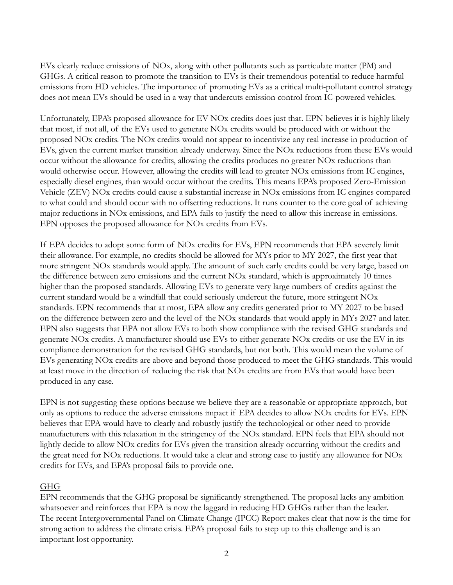EVs clearly reduce emissions of NOx, along with other pollutants such as particulate matter (PM) and GHGs. A critical reason to promote the transition to EVs is their tremendous potential to reduce harmful emissions from HD vehicles. The importance of promoting EVs as a critical multi-pollutant control strategy does not mean EVs should be used in a way that undercuts emission control from IC-powered vehicles.

Unfortunately, EPA's proposed allowance for EV NOx credits does just that. EPN believes it is highly likely that most, if not all, of the EVs used to generate NOx credits would be produced with or without the proposed NOx credits. The NOx credits would not appear to incentivize any real increase in production of EVs, given the current market transition already underway. Since the NOx reductions from these EVs would occur without the allowance for credits, allowing the credits produces no greater NOx reductions than would otherwise occur. However, allowing the credits will lead to greater NOx emissions from IC engines, especially diesel engines, than would occur without the credits. This means EPA's proposed Zero-Emission Vehicle (ZEV) NOx credits could cause a substantial increase in NOx emissions from IC engines compared to what could and should occur with no offsetting reductions. It runs counter to the core goal of achieving major reductions in NOx emissions, and EPA fails to justify the need to allow this increase in emissions. EPN opposes the proposed allowance for NOx credits from EVs.

If EPA decides to adopt some form of NOx credits for EVs, EPN recommends that EPA severely limit their allowance. For example, no credits should be allowed for MYs prior to MY 2027, the first year that more stringent NOx standards would apply. The amount of such early credits could be very large, based on the difference between zero emissions and the current NOx standard, which is approximately 10 times higher than the proposed standards. Allowing EVs to generate very large numbers of credits against the current standard would be a windfall that could seriously undercut the future, more stringent NOx standards. EPN recommends that at most, EPA allow any credits generated prior to MY 2027 to be based on the difference between zero and the level of the NOx standards that would apply in MYs 2027 and later. EPN also suggests that EPA not allow EVs to both show compliance with the revised GHG standards and generate NOx credits. A manufacturer should use EVs to either generate NOx credits or use the EV in its compliance demonstration for the revised GHG standards, but not both. This would mean the volume of EVs generating NOx credits are above and beyond those produced to meet the GHG standards. This would at least move in the direction of reducing the risk that NOx credits are from EVs that would have been produced in any case.

EPN is not suggesting these options because we believe they are a reasonable or appropriate approach, but only as options to reduce the adverse emissions impact if EPA decides to allow NOx credits for EVs. EPN believes that EPA would have to clearly and robustly justify the technological or other need to provide manufacturers with this relaxation in the stringency of the NOx standard. EPN feels that EPA should not lightly decide to allow NOx credits for EVs given the transition already occurring without the credits and the great need for NOx reductions. It would take a clear and strong case to justify any allowance for NOx credits for EVs, and EPA's proposal fails to provide one.

## GHG

EPN recommends that the GHG proposal be significantly strengthened. The proposal lacks any ambition whatsoever and reinforces that EPA is now the laggard in reducing HD GHGs rather than the leader. The recent Intergovernmental Panel on Climate Change (IPCC) Report makes clear that now is the time for strong action to address the climate crisis. EPA's proposal fails to step up to this challenge and is an important lost opportunity.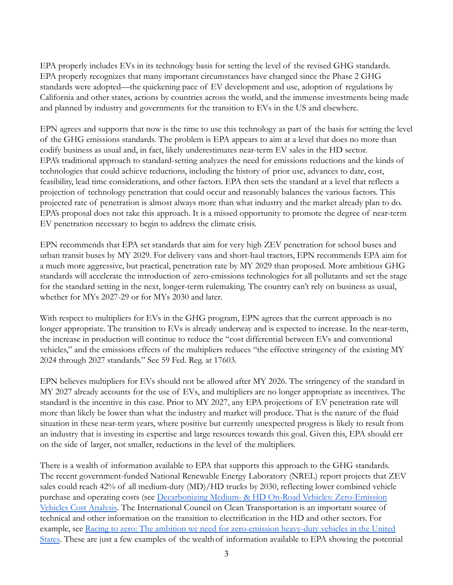EPA properly includes EVs in its technology basis for setting the level of the revised GHG standards. EPA properly recognizes that many important circumstances have changed since the Phase 2 GHG standards were adopted—the quickening pace of EV development and use, adoption of regulations by California and other states, actions by countries across the world, and the immense investments being made and planned by industry and governments for the transition to EVs in the US and elsewhere.

EPN agrees and supports that now is the time to use this technology as part of the basis for setting the level of the GHG emissions standards. The problem is EPA appears to aim at a level that does no more than codify business as usual and, in fact, likely underestimates near-term EV sales in the HD sector. EPA's traditional approach to standard-setting analyzes the need for emissions reductions and the kinds of technologies that could achieve reductions, including the history of prior use, advances to date, cost, feasibility, lead time considerations, and other factors. EPA then sets the standard at a level that reflects a projection of technology penetration that could occur and reasonably balances the various factors. This projected rate of penetration is almost always more than what industry and the market already plan to do. EPA's proposal does not take this approach. It is a missed opportunity to promote the degree of near-term EV penetration necessary to begin to address the climate crisis.

EPN recommends that EPA set standards that aim for very high ZEV penetration for school buses and urban transit buses by MY 2029. For delivery vans and short-haul tractors, EPN recommends EPA aim for a much more aggressive, but practical, penetration rate by MY 2029 than proposed. More ambitious GHG standards will accelerate the introduction of zero-emissions technologies for all pollutants and set the stage for the standard setting in the next, longer-term rulemaking. The country can't rely on business as usual, whether for MYs 2027-29 or for MYs 2030 and later.

With respect to multipliers for EVs in the GHG program, EPN agrees that the current approach is no longer appropriate. The transition to EVs is already underway and is expected to increase. In the near-term, the increase in production will continue to reduce the "cost differential between EVs and conventional vehicles," and the emissions effects of the multipliers reduces "the effective stringency of the existing MY 2024 through 2027 standards." See 59 Fed. Reg. at 17603.

EPN believes multipliers for EVs should not be allowed after MY 2026. The stringency of the standard in MY 2027 already accounts for the use of EVs, and multipliers are no longer appropriate as incentives. The standard is the incentive in this case. Prior to MY 2027, any EPA projections of EV penetration rate will more than likely be lower than what the industry and market will produce. That is the nature of the fluid situation in these near-term years, where positive but currently unexpected progress is likely to result from an industry that is investing its expertise and large resources towards this goal. Given this, EPA should err on the side of larger, not smaller, reductions in the level of the multipliers.

There is a wealth of information available to EPA that supports this approach to the GHG standards. The recent government-funded National Renewable Energy Laboratory (NREL) report projects that ZEV sales could reach 42% of all medium-duty (MD)/HD trucks by 2030, reflecting lower combined vehicle purchase and operating costs (see Decarbonizing Medium- [& HD On-Road Vehicles: Zero-Emission](https://www.nrel.gov/docs/fy22osti/82081.pdf) [Vehicles Cost Analysis](https://www.nrel.gov/docs/fy22osti/82081.pdf). The International Council on Clean Transportation is an important source of technical and other information on the transition to electrification in the HD and other sectors. For example, see Racing to zero: The ambition we need [for zero-emission heavy-duty vehicles in the United](https://theicct.org/racing-to-zero-hdv-us-apr22/) [States.](https://theicct.org/racing-to-zero-hdv-us-apr22/) These are just a few examples of the wealthof information available to EPA showing the potential